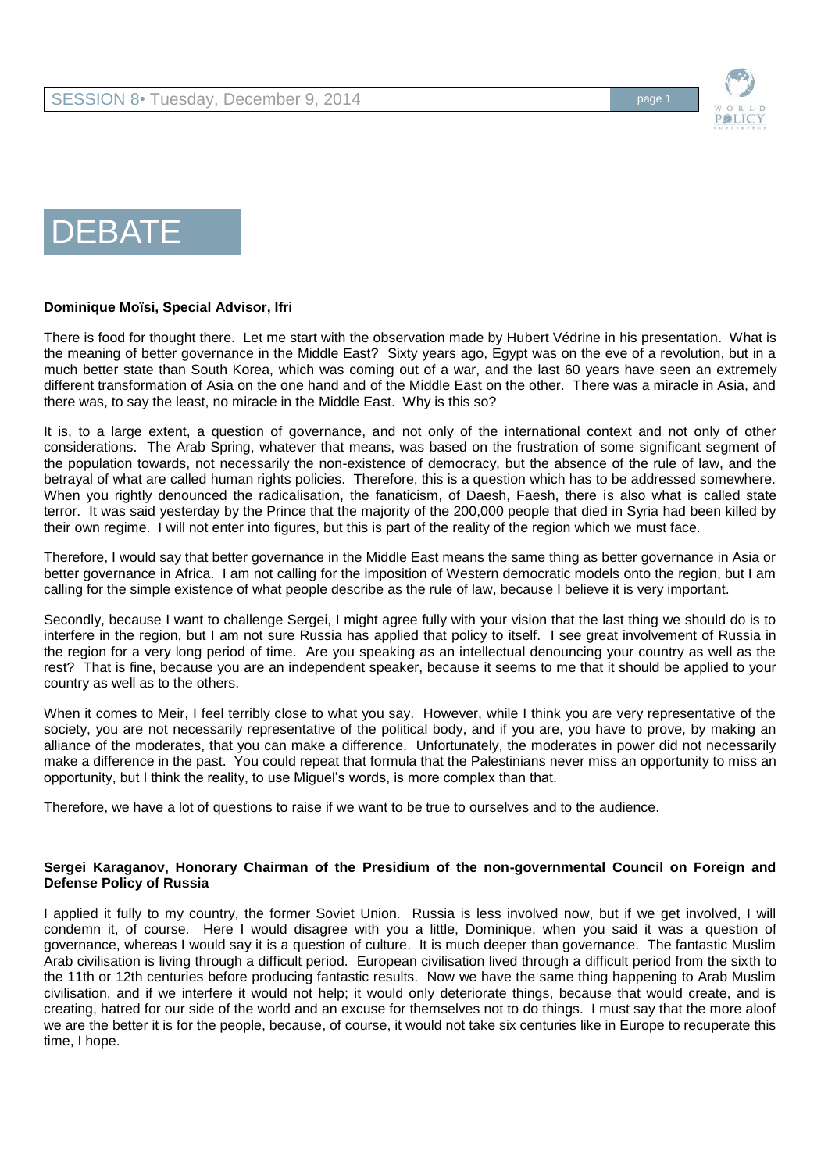

# DEBATE

#### **Dominique Moïsi, Special Advisor, Ifri**

There is food for thought there. Let me start with the observation made by Hubert Védrine in his presentation. What is the meaning of better governance in the Middle East? Sixty years ago, Egypt was on the eve of a revolution, but in a much better state than South Korea, which was coming out of a war, and the last 60 years have seen an extremely different transformation of Asia on the one hand and of the Middle East on the other. There was a miracle in Asia, and there was, to say the least, no miracle in the Middle East. Why is this so?

It is, to a large extent, a question of governance, and not only of the international context and not only of other considerations. The Arab Spring, whatever that means, was based on the frustration of some significant segment of the population towards, not necessarily the non-existence of democracy, but the absence of the rule of law, and the betrayal of what are called human rights policies. Therefore, this is a question which has to be addressed somewhere. When you rightly denounced the radicalisation, the fanaticism, of Daesh, Faesh, there is also what is called state terror. It was said yesterday by the Prince that the majority of the 200,000 people that died in Syria had been killed by their own regime. I will not enter into figures, but this is part of the reality of the region which we must face.

Therefore, I would say that better governance in the Middle East means the same thing as better governance in Asia or better governance in Africa. I am not calling for the imposition of Western democratic models onto the region, but I am calling for the simple existence of what people describe as the rule of law, because I believe it is very important.

Secondly, because I want to challenge Sergei, I might agree fully with your vision that the last thing we should do is to interfere in the region, but I am not sure Russia has applied that policy to itself. I see great involvement of Russia in the region for a very long period of time. Are you speaking as an intellectual denouncing your country as well as the rest? That is fine, because you are an independent speaker, because it seems to me that it should be applied to your country as well as to the others.

When it comes to Meir, I feel terribly close to what you say. However, while I think you are very representative of the society, you are not necessarily representative of the political body, and if you are, you have to prove, by making an alliance of the moderates, that you can make a difference. Unfortunately, the moderates in power did not necessarily make a difference in the past. You could repeat that formula that the Palestinians never miss an opportunity to miss an opportunity, but I think the reality, to use Miguel's words, is more complex than that.

Therefore, we have a lot of questions to raise if we want to be true to ourselves and to the audience.

#### **Sergei Karaganov, Honorary Chairman of the Presidium of the non-governmental Council on Foreign and Defense Policy of Russia**

I applied it fully to my country, the former Soviet Union. Russia is less involved now, but if we get involved, I will condemn it, of course. Here I would disagree with you a little, Dominique, when you said it was a question of governance, whereas I would say it is a question of culture. It is much deeper than governance. The fantastic Muslim Arab civilisation is living through a difficult period. European civilisation lived through a difficult period from the sixth to the 11th or 12th centuries before producing fantastic results. Now we have the same thing happening to Arab Muslim civilisation, and if we interfere it would not help; it would only deteriorate things, because that would create, and is creating, hatred for our side of the world and an excuse for themselves not to do things. I must say that the more aloof we are the better it is for the people, because, of course, it would not take six centuries like in Europe to recuperate this time, I hope.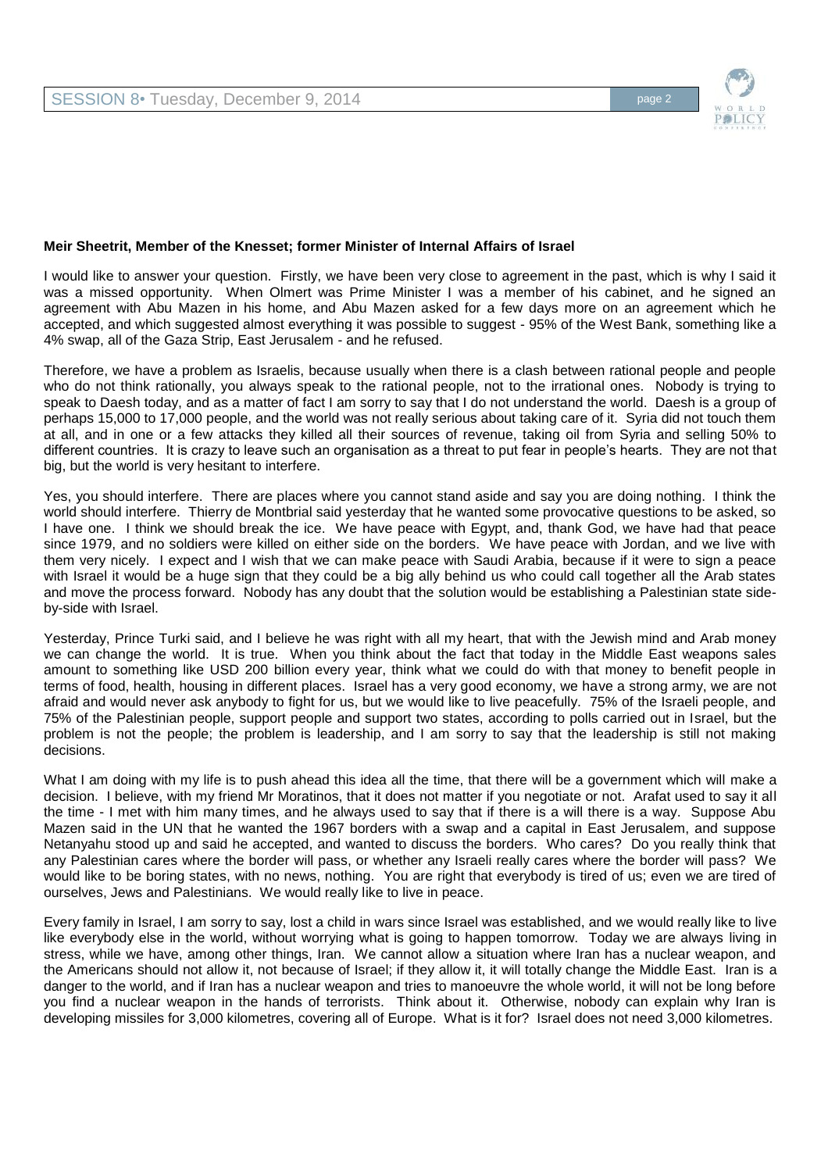

#### **Meir Sheetrit, Member of the Knesset; former Minister of Internal Affairs of Israel**

I would like to answer your question. Firstly, we have been very close to agreement in the past, which is why I said it was a missed opportunity. When Olmert was Prime Minister I was a member of his cabinet, and he signed an agreement with Abu Mazen in his home, and Abu Mazen asked for a few days more on an agreement which he accepted, and which suggested almost everything it was possible to suggest - 95% of the West Bank, something like a 4% swap, all of the Gaza Strip, East Jerusalem - and he refused.

Therefore, we have a problem as Israelis, because usually when there is a clash between rational people and people who do not think rationally, you always speak to the rational people, not to the irrational ones. Nobody is trying to speak to Daesh today, and as a matter of fact I am sorry to say that I do not understand the world. Daesh is a group of perhaps 15,000 to 17,000 people, and the world was not really serious about taking care of it. Syria did not touch them at all, and in one or a few attacks they killed all their sources of revenue, taking oil from Syria and selling 50% to different countries. It is crazy to leave such an organisation as a threat to put fear in people's hearts. They are not that big, but the world is very hesitant to interfere.

Yes, you should interfere. There are places where you cannot stand aside and say you are doing nothing. I think the world should interfere. Thierry de Montbrial said yesterday that he wanted some provocative questions to be asked, so I have one. I think we should break the ice. We have peace with Egypt, and, thank God, we have had that peace since 1979, and no soldiers were killed on either side on the borders. We have peace with Jordan, and we live with them very nicely. I expect and I wish that we can make peace with Saudi Arabia, because if it were to sign a peace with Israel it would be a huge sign that they could be a big ally behind us who could call together all the Arab states and move the process forward. Nobody has any doubt that the solution would be establishing a Palestinian state sideby-side with Israel.

Yesterday, Prince Turki said, and I believe he was right with all my heart, that with the Jewish mind and Arab money we can change the world. It is true. When you think about the fact that today in the Middle East weapons sales amount to something like USD 200 billion every year, think what we could do with that money to benefit people in terms of food, health, housing in different places. Israel has a very good economy, we have a strong army, we are not afraid and would never ask anybody to fight for us, but we would like to live peacefully. 75% of the Israeli people, and 75% of the Palestinian people, support people and support two states, according to polls carried out in Israel, but the problem is not the people; the problem is leadership, and I am sorry to say that the leadership is still not making decisions.

What I am doing with my life is to push ahead this idea all the time, that there will be a government which will make a decision. I believe, with my friend Mr Moratinos, that it does not matter if you negotiate or not. Arafat used to say it all the time - I met with him many times, and he always used to say that if there is a will there is a way. Suppose Abu Mazen said in the UN that he wanted the 1967 borders with a swap and a capital in East Jerusalem, and suppose Netanyahu stood up and said he accepted, and wanted to discuss the borders. Who cares? Do you really think that any Palestinian cares where the border will pass, or whether any Israeli really cares where the border will pass? We would like to be boring states, with no news, nothing. You are right that everybody is tired of us; even we are tired of ourselves, Jews and Palestinians. We would really like to live in peace.

Every family in Israel, I am sorry to say, lost a child in wars since Israel was established, and we would really like to live like everybody else in the world, without worrying what is going to happen tomorrow. Today we are always living in stress, while we have, among other things, Iran. We cannot allow a situation where Iran has a nuclear weapon, and the Americans should not allow it, not because of Israel; if they allow it, it will totally change the Middle East. Iran is a danger to the world, and if Iran has a nuclear weapon and tries to manoeuvre the whole world, it will not be long before you find a nuclear weapon in the hands of terrorists. Think about it. Otherwise, nobody can explain why Iran is developing missiles for 3,000 kilometres, covering all of Europe. What is it for? Israel does not need 3,000 kilometres.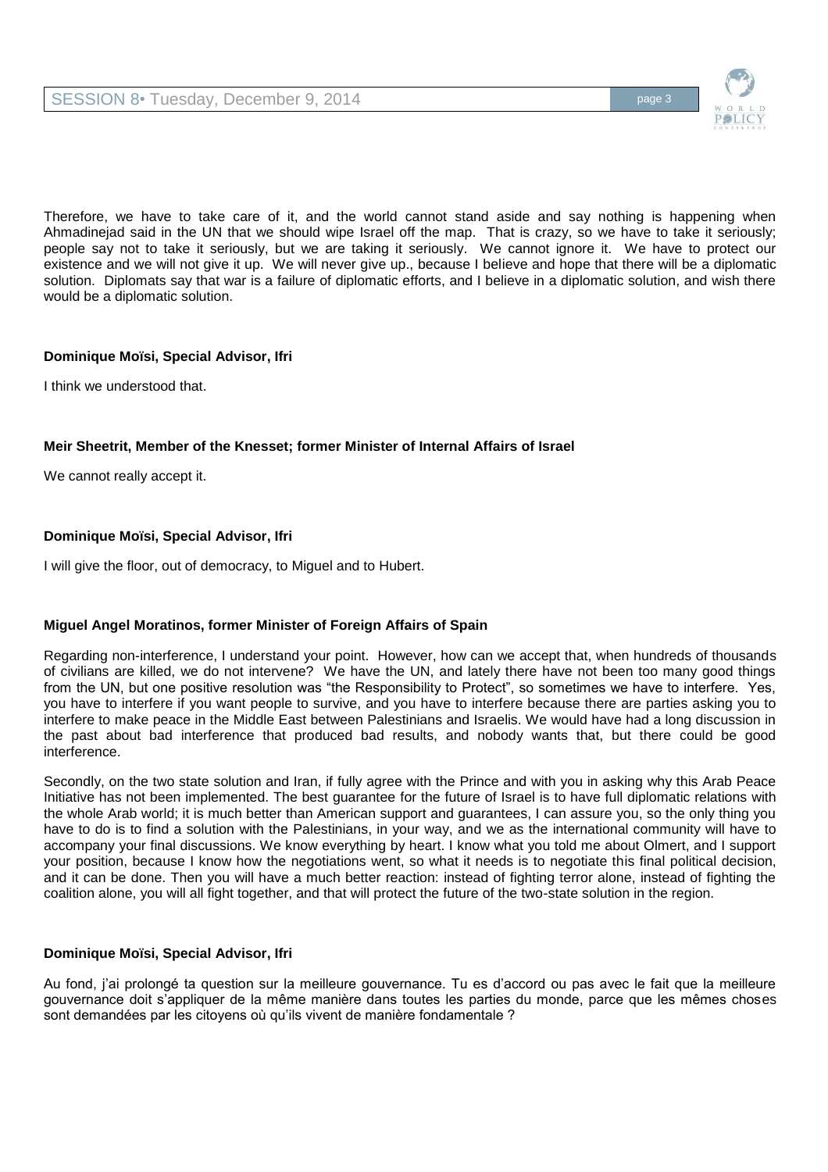

Therefore, we have to take care of it, and the world cannot stand aside and say nothing is happening when Ahmadinejad said in the UN that we should wipe Israel off the map. That is crazy, so we have to take it seriously; people say not to take it seriously, but we are taking it seriously. We cannot ignore it. We have to protect our existence and we will not give it up. We will never give up., because I believe and hope that there will be a diplomatic solution. Diplomats say that war is a failure of diplomatic efforts, and I believe in a diplomatic solution, and wish there would be a diplomatic solution.

# **Dominique Moïsi, Special Advisor, Ifri**

I think we understood that.

# **Meir Sheetrit, Member of the Knesset; former Minister of Internal Affairs of Israel**

We cannot really accept it.

# **Dominique Moïsi, Special Advisor, Ifri**

I will give the floor, out of democracy, to Miguel and to Hubert.

# **Miguel Angel Moratinos, former Minister of Foreign Affairs of Spain**

Regarding non-interference, I understand your point. However, how can we accept that, when hundreds of thousands of civilians are killed, we do not intervene? We have the UN, and lately there have not been too many good things from the UN, but one positive resolution was "the Responsibility to Protect", so sometimes we have to interfere. Yes, you have to interfere if you want people to survive, and you have to interfere because there are parties asking you to interfere to make peace in the Middle East between Palestinians and Israelis. We would have had a long discussion in the past about bad interference that produced bad results, and nobody wants that, but there could be good interference.

Secondly, on the two state solution and Iran, if fully agree with the Prince and with you in asking why this Arab Peace Initiative has not been implemented. The best guarantee for the future of Israel is to have full diplomatic relations with the whole Arab world; it is much better than American support and guarantees, I can assure you, so the only thing you have to do is to find a solution with the Palestinians, in your way, and we as the international community will have to accompany your final discussions. We know everything by heart. I know what you told me about Olmert, and I support your position, because I know how the negotiations went, so what it needs is to negotiate this final political decision, and it can be done. Then you will have a much better reaction: instead of fighting terror alone, instead of fighting the coalition alone, you will all fight together, and that will protect the future of the two-state solution in the region.

# **Dominique Moïsi, Special Advisor, Ifri**

Au fond, j'ai prolongé ta question sur la meilleure gouvernance. Tu es d'accord ou pas avec le fait que la meilleure gouvernance doit s'appliquer de la même manière dans toutes les parties du monde, parce que les mêmes choses sont demandées par les citoyens où qu'ils vivent de manière fondamentale ?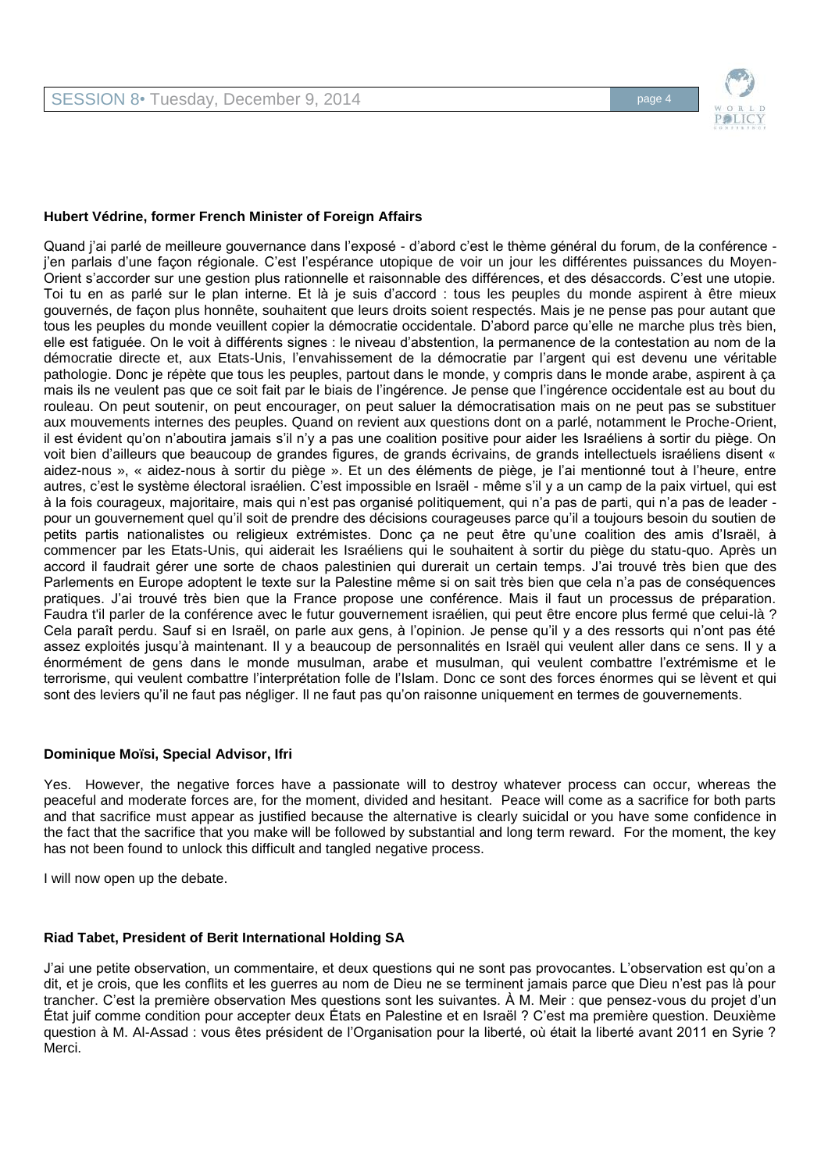

## **Hubert Védrine, former French Minister of Foreign Affairs**

Quand j'ai parlé de meilleure gouvernance dans l'exposé - d'abord c'est le thème général du forum, de la conférence j'en parlais d'une façon régionale. C'est l'espérance utopique de voir un jour les différentes puissances du Moyen-Orient s'accorder sur une gestion plus rationnelle et raisonnable des différences, et des désaccords. C'est une utopie. Toi tu en as parlé sur le plan interne. Et là je suis d'accord : tous les peuples du monde aspirent à être mieux gouvernés, de façon plus honnête, souhaitent que leurs droits soient respectés. Mais je ne pense pas pour autant que tous les peuples du monde veuillent copier la démocratie occidentale. D'abord parce qu'elle ne marche plus très bien, elle est fatiguée. On le voit à différents signes : le niveau d'abstention, la permanence de la contestation au nom de la démocratie directe et, aux Etats-Unis, l'envahissement de la démocratie par l'argent qui est devenu une véritable pathologie. Donc je répète que tous les peuples, partout dans le monde, y compris dans le monde arabe, aspirent à ça mais ils ne veulent pas que ce soit fait par le biais de l'ingérence. Je pense que l'ingérence occidentale est au bout du rouleau. On peut soutenir, on peut encourager, on peut saluer la démocratisation mais on ne peut pas se substituer aux mouvements internes des peuples. Quand on revient aux questions dont on a parlé, notamment le Proche-Orient, il est évident qu'on n'aboutira jamais s'il n'y a pas une coalition positive pour aider les Israéliens à sortir du piège. On voit bien d'ailleurs que beaucoup de grandes figures, de grands écrivains, de grands intellectuels israéliens disent « aidez-nous », « aidez-nous à sortir du piège ». Et un des éléments de piège, je l'ai mentionné tout à l'heure, entre autres, c'est le système électoral israélien. C'est impossible en Israël - même s'il y a un camp de la paix virtuel, qui est à la fois courageux, majoritaire, mais qui n'est pas organisé politiquement, qui n'a pas de parti, qui n'a pas de leader pour un gouvernement quel qu'il soit de prendre des décisions courageuses parce qu'il a toujours besoin du soutien de petits partis nationalistes ou religieux extrémistes. Donc ça ne peut être qu'une coalition des amis d'Israël, à commencer par les Etats-Unis, qui aiderait les Israéliens qui le souhaitent à sortir du piège du statu-quo. Après un accord il faudrait gérer une sorte de chaos palestinien qui durerait un certain temps. J'ai trouvé très bien que des Parlements en Europe adoptent le texte sur la Palestine même si on sait très bien que cela n'a pas de conséquences pratiques. J'ai trouvé très bien que la France propose une conférence. Mais il faut un processus de préparation. Faudra t'il parler de la conférence avec le futur gouvernement israélien, qui peut être encore plus fermé que celui-là ? Cela paraît perdu. Sauf si en Israël, on parle aux gens, à l'opinion. Je pense qu'il y a des ressorts qui n'ont pas été assez exploités jusqu'à maintenant. Il y a beaucoup de personnalités en Israël qui veulent aller dans ce sens. Il y a énormément de gens dans le monde musulman, arabe et musulman, qui veulent combattre l'extrémisme et le terrorisme, qui veulent combattre l'interprétation folle de l'Islam. Donc ce sont des forces énormes qui se lèvent et qui sont des leviers qu'il ne faut pas négliger. Il ne faut pas qu'on raisonne uniquement en termes de gouvernements.

#### **Dominique Moïsi, Special Advisor, Ifri**

Yes. However, the negative forces have a passionate will to destroy whatever process can occur, whereas the peaceful and moderate forces are, for the moment, divided and hesitant. Peace will come as a sacrifice for both parts and that sacrifice must appear as justified because the alternative is clearly suicidal or you have some confidence in the fact that the sacrifice that you make will be followed by substantial and long term reward. For the moment, the key has not been found to unlock this difficult and tangled negative process.

I will now open up the debate.

#### **Riad Tabet, President of Berit International Holding SA**

J'ai une petite observation, un commentaire, et deux questions qui ne sont pas provocantes. L'observation est qu'on a dit, et je crois, que les conflits et les guerres au nom de Dieu ne se terminent jamais parce que Dieu n'est pas là pour trancher. C'est la première observation Mes questions sont les suivantes. À M. Meir : que pensez-vous du projet d'un État juif comme condition pour accepter deux États en Palestine et en Israël ? C'est ma première question. Deuxième question à M. Al-Assad : vous êtes président de l'Organisation pour la liberté, où était la liberté avant 2011 en Syrie ? Merci.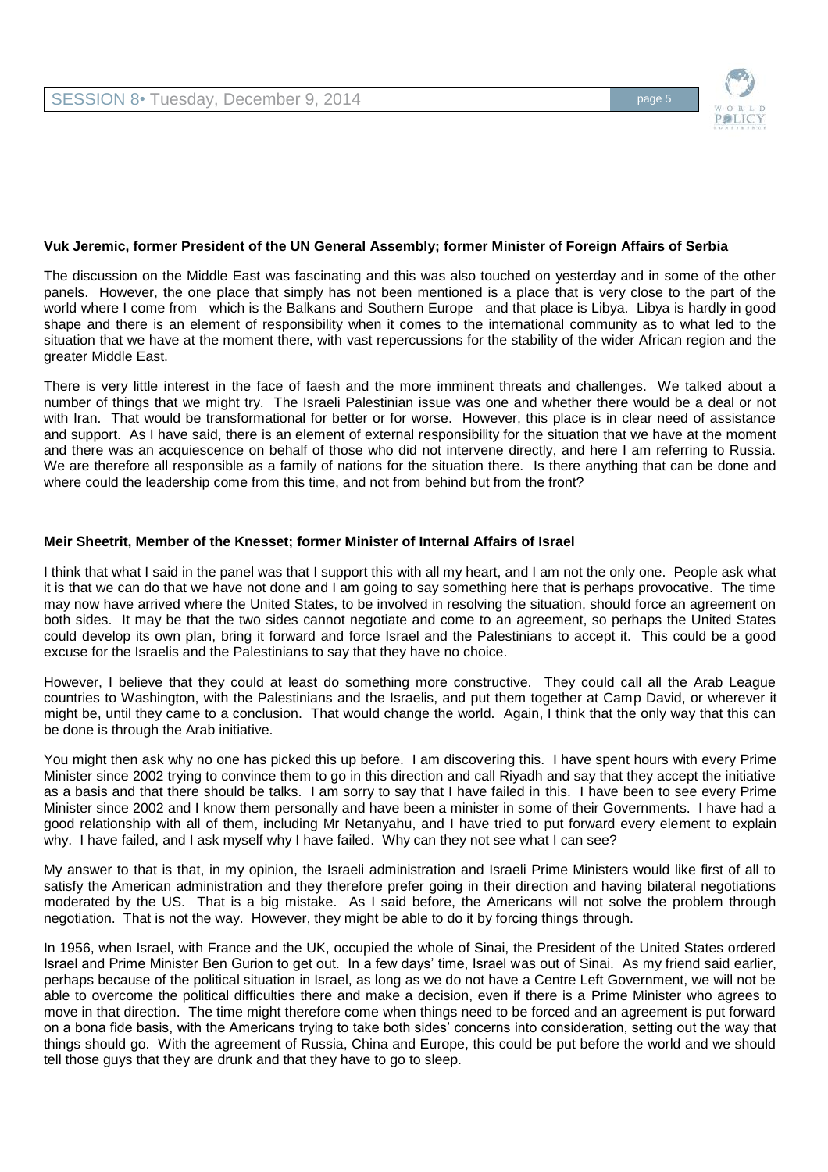

#### **Vuk Jeremic, former President of the UN General Assembly; former Minister of Foreign Affairs of Serbia**

The discussion on the Middle East was fascinating and this was also touched on yesterday and in some of the other panels. However, the one place that simply has not been mentioned is a place that is very close to the part of the world where I come from which is the Balkans and Southern Europe and that place is Libya. Libya is hardly in good shape and there is an element of responsibility when it comes to the international community as to what led to the situation that we have at the moment there, with vast repercussions for the stability of the wider African region and the greater Middle East.

There is very little interest in the face of faesh and the more imminent threats and challenges. We talked about a number of things that we might try. The Israeli Palestinian issue was one and whether there would be a deal or not with Iran. That would be transformational for better or for worse. However, this place is in clear need of assistance and support. As I have said, there is an element of external responsibility for the situation that we have at the moment and there was an acquiescence on behalf of those who did not intervene directly, and here I am referring to Russia. We are therefore all responsible as a family of nations for the situation there. Is there anything that can be done and where could the leadership come from this time, and not from behind but from the front?

#### **Meir Sheetrit, Member of the Knesset; former Minister of Internal Affairs of Israel**

I think that what I said in the panel was that I support this with all my heart, and I am not the only one. People ask what it is that we can do that we have not done and I am going to say something here that is perhaps provocative. The time may now have arrived where the United States, to be involved in resolving the situation, should force an agreement on both sides. It may be that the two sides cannot negotiate and come to an agreement, so perhaps the United States could develop its own plan, bring it forward and force Israel and the Palestinians to accept it. This could be a good excuse for the Israelis and the Palestinians to say that they have no choice.

However, I believe that they could at least do something more constructive. They could call all the Arab League countries to Washington, with the Palestinians and the Israelis, and put them together at Camp David, or wherever it might be, until they came to a conclusion. That would change the world. Again, I think that the only way that this can be done is through the Arab initiative.

You might then ask why no one has picked this up before. I am discovering this. I have spent hours with every Prime Minister since 2002 trying to convince them to go in this direction and call Riyadh and say that they accept the initiative as a basis and that there should be talks. I am sorry to say that I have failed in this. I have been to see every Prime Minister since 2002 and I know them personally and have been a minister in some of their Governments. I have had a good relationship with all of them, including Mr Netanyahu, and I have tried to put forward every element to explain why. I have failed, and I ask myself why I have failed. Why can they not see what I can see?

My answer to that is that, in my opinion, the Israeli administration and Israeli Prime Ministers would like first of all to satisfy the American administration and they therefore prefer going in their direction and having bilateral negotiations moderated by the US. That is a big mistake. As I said before, the Americans will not solve the problem through negotiation. That is not the way. However, they might be able to do it by forcing things through.

In 1956, when Israel, with France and the UK, occupied the whole of Sinai, the President of the United States ordered Israel and Prime Minister Ben Gurion to get out. In a few days' time, Israel was out of Sinai. As my friend said earlier, perhaps because of the political situation in Israel, as long as we do not have a Centre Left Government, we will not be able to overcome the political difficulties there and make a decision, even if there is a Prime Minister who agrees to move in that direction. The time might therefore come when things need to be forced and an agreement is put forward on a bona fide basis, with the Americans trying to take both sides' concerns into consideration, setting out the way that things should go. With the agreement of Russia, China and Europe, this could be put before the world and we should tell those guys that they are drunk and that they have to go to sleep.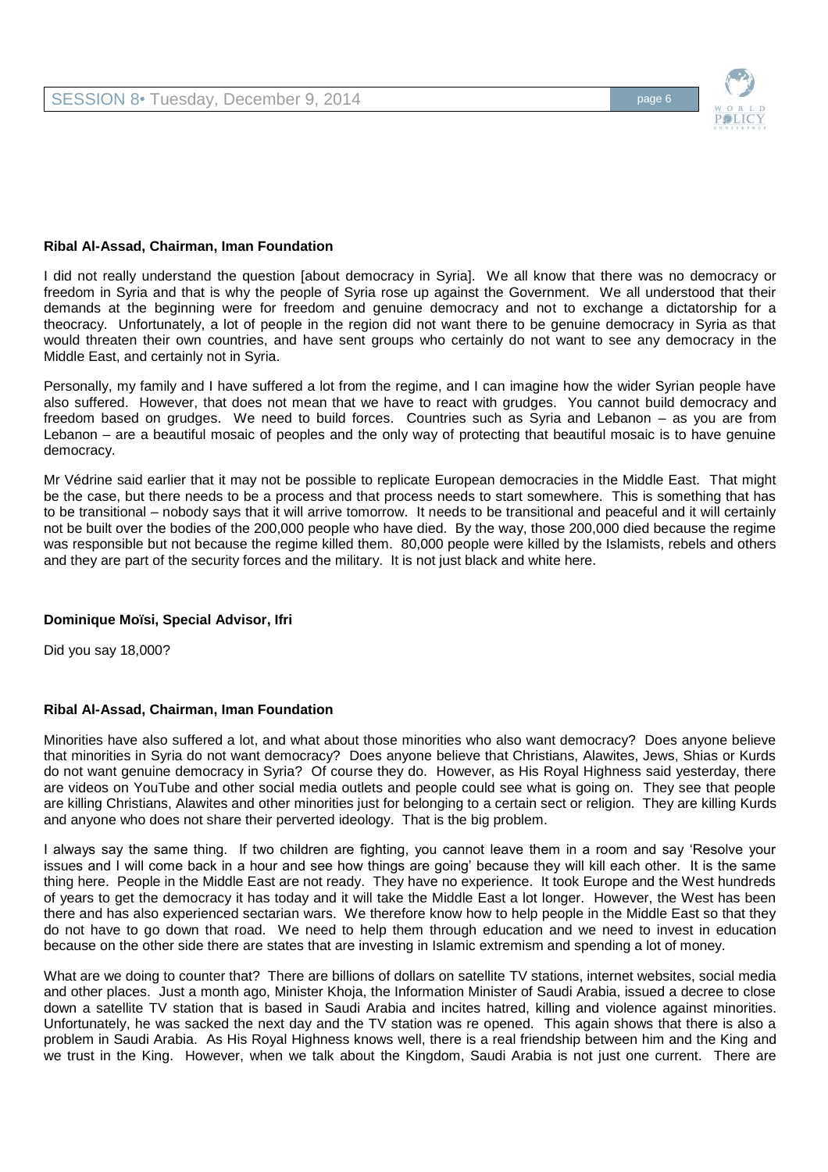

#### **Ribal Al-Assad, Chairman, Iman Foundation**

I did not really understand the question [about democracy in Syria]. We all know that there was no democracy or freedom in Syria and that is why the people of Syria rose up against the Government. We all understood that their demands at the beginning were for freedom and genuine democracy and not to exchange a dictatorship for a theocracy. Unfortunately, a lot of people in the region did not want there to be genuine democracy in Syria as that would threaten their own countries, and have sent groups who certainly do not want to see any democracy in the Middle East, and certainly not in Syria.

Personally, my family and I have suffered a lot from the regime, and I can imagine how the wider Syrian people have also suffered. However, that does not mean that we have to react with grudges. You cannot build democracy and freedom based on grudges. We need to build forces. Countries such as Syria and Lebanon – as you are from Lebanon – are a beautiful mosaic of peoples and the only way of protecting that beautiful mosaic is to have genuine democracy.

Mr Védrine said earlier that it may not be possible to replicate European democracies in the Middle East. That might be the case, but there needs to be a process and that process needs to start somewhere. This is something that has to be transitional – nobody says that it will arrive tomorrow. It needs to be transitional and peaceful and it will certainly not be built over the bodies of the 200,000 people who have died. By the way, those 200,000 died because the regime was responsible but not because the regime killed them. 80,000 people were killed by the Islamists, rebels and others and they are part of the security forces and the military. It is not just black and white here.

#### **Dominique Moïsi, Special Advisor, Ifri**

Did you say 18,000?

#### **Ribal Al-Assad, Chairman, Iman Foundation**

Minorities have also suffered a lot, and what about those minorities who also want democracy? Does anyone believe that minorities in Syria do not want democracy? Does anyone believe that Christians, Alawites, Jews, Shias or Kurds do not want genuine democracy in Syria? Of course they do. However, as His Royal Highness said yesterday, there are videos on YouTube and other social media outlets and people could see what is going on. They see that people are killing Christians, Alawites and other minorities just for belonging to a certain sect or religion. They are killing Kurds and anyone who does not share their perverted ideology. That is the big problem.

I always say the same thing. If two children are fighting, you cannot leave them in a room and say 'Resolve your issues and I will come back in a hour and see how things are going' because they will kill each other. It is the same thing here. People in the Middle East are not ready. They have no experience. It took Europe and the West hundreds of years to get the democracy it has today and it will take the Middle East a lot longer. However, the West has been there and has also experienced sectarian wars. We therefore know how to help people in the Middle East so that they do not have to go down that road. We need to help them through education and we need to invest in education because on the other side there are states that are investing in Islamic extremism and spending a lot of money.

What are we doing to counter that? There are billions of dollars on satellite TV stations, internet websites, social media and other places. Just a month ago, Minister Khoja, the Information Minister of Saudi Arabia, issued a decree to close down a satellite TV station that is based in Saudi Arabia and incites hatred, killing and violence against minorities. Unfortunately, he was sacked the next day and the TV station was re opened. This again shows that there is also a problem in Saudi Arabia. As His Royal Highness knows well, there is a real friendship between him and the King and we trust in the King. However, when we talk about the Kingdom, Saudi Arabia is not just one current. There are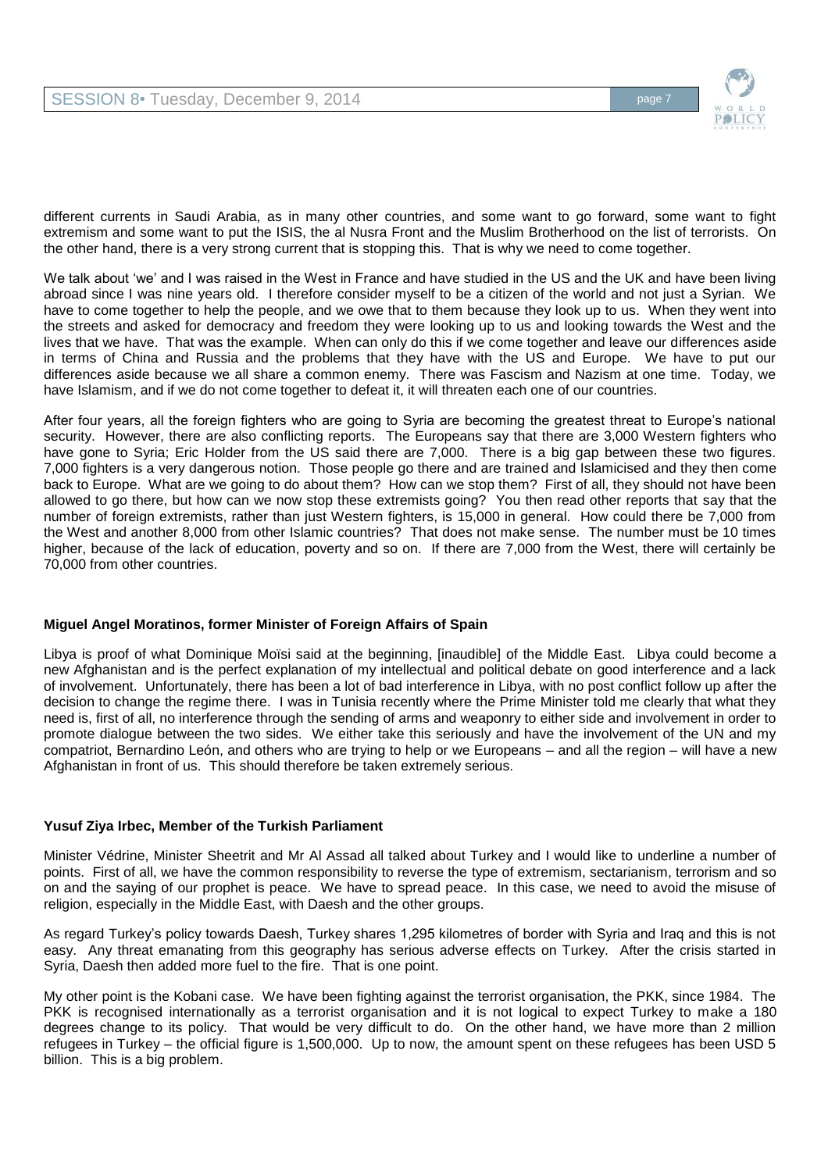

different currents in Saudi Arabia, as in many other countries, and some want to go forward, some want to fight extremism and some want to put the ISIS, the al Nusra Front and the Muslim Brotherhood on the list of terrorists. On the other hand, there is a very strong current that is stopping this. That is why we need to come together.

We talk about 'we' and I was raised in the West in France and have studied in the US and the UK and have been living abroad since I was nine years old. I therefore consider myself to be a citizen of the world and not just a Syrian. We have to come together to help the people, and we owe that to them because they look up to us. When they went into the streets and asked for democracy and freedom they were looking up to us and looking towards the West and the lives that we have. That was the example. When can only do this if we come together and leave our differences aside in terms of China and Russia and the problems that they have with the US and Europe. We have to put our differences aside because we all share a common enemy. There was Fascism and Nazism at one time. Today, we have Islamism, and if we do not come together to defeat it, it will threaten each one of our countries.

After four years, all the foreign fighters who are going to Syria are becoming the greatest threat to Europe's national security. However, there are also conflicting reports. The Europeans say that there are 3,000 Western fighters who have gone to Syria; Eric Holder from the US said there are 7,000. There is a big gap between these two figures. 7,000 fighters is a very dangerous notion. Those people go there and are trained and Islamicised and they then come back to Europe. What are we going to do about them? How can we stop them? First of all, they should not have been allowed to go there, but how can we now stop these extremists going? You then read other reports that say that the number of foreign extremists, rather than just Western fighters, is 15,000 in general. How could there be 7,000 from the West and another 8,000 from other Islamic countries? That does not make sense. The number must be 10 times higher, because of the lack of education, poverty and so on. If there are 7,000 from the West, there will certainly be 70,000 from other countries.

# **Miguel Angel Moratinos, former Minister of Foreign Affairs of Spain**

Libya is proof of what Dominique Moïsi said at the beginning, [inaudible] of the Middle East. Libya could become a new Afghanistan and is the perfect explanation of my intellectual and political debate on good interference and a lack of involvement. Unfortunately, there has been a lot of bad interference in Libya, with no post conflict follow up after the decision to change the regime there. I was in Tunisia recently where the Prime Minister told me clearly that what they need is, first of all, no interference through the sending of arms and weaponry to either side and involvement in order to promote dialogue between the two sides. We either take this seriously and have the involvement of the UN and my compatriot, Bernardino León, and others who are trying to help or we Europeans – and all the region – will have a new Afghanistan in front of us. This should therefore be taken extremely serious.

# **Yusuf Ziya Irbec, Member of the Turkish Parliament**

Minister Védrine, Minister Sheetrit and Mr Al Assad all talked about Turkey and I would like to underline a number of points. First of all, we have the common responsibility to reverse the type of extremism, sectarianism, terrorism and so on and the saying of our prophet is peace. We have to spread peace. In this case, we need to avoid the misuse of religion, especially in the Middle East, with Daesh and the other groups.

As regard Turkey's policy towards Daesh, Turkey shares 1,295 kilometres of border with Syria and Iraq and this is not easy. Any threat emanating from this geography has serious adverse effects on Turkey. After the crisis started in Syria, Daesh then added more fuel to the fire. That is one point.

My other point is the Kobani case. We have been fighting against the terrorist organisation, the PKK, since 1984. The PKK is recognised internationally as a terrorist organisation and it is not logical to expect Turkey to make a 180 degrees change to its policy. That would be very difficult to do. On the other hand, we have more than 2 million refugees in Turkey – the official figure is 1,500,000. Up to now, the amount spent on these refugees has been USD 5 billion. This is a big problem.